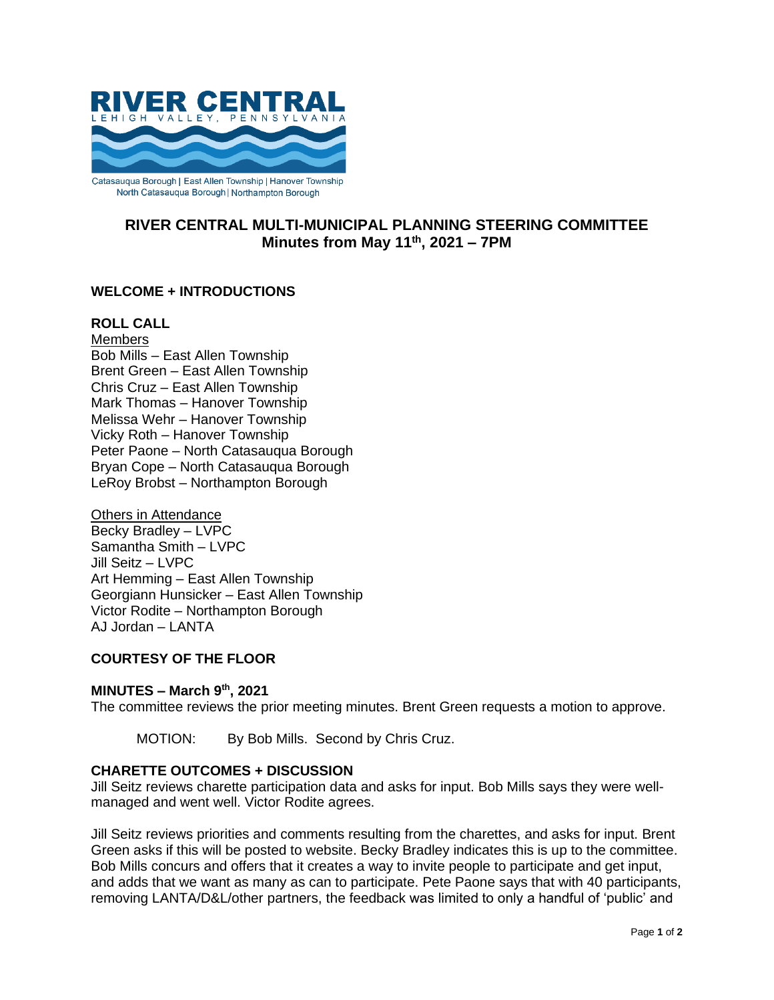

**RIVER CENTRAL MULTI-MUNICIPAL PLANNING STEERING COMMITTEE Minutes from May 11th, 2021 – 7PM**

## **WELCOME + INTRODUCTIONS**

### **ROLL CALL**

**Members** Bob Mills – East Allen Township Brent Green – East Allen Township Chris Cruz – East Allen Township Mark Thomas – Hanover Township Melissa Wehr – Hanover Township Vicky Roth – Hanover Township Peter Paone – North Catasauqua Borough Bryan Cope – North Catasauqua Borough LeRoy Brobst – Northampton Borough

Others in Attendance Becky Bradley – LVPC Samantha Smith – LVPC Jill Seitz – LVPC Art Hemming – East Allen Township Georgiann Hunsicker – East Allen Township Victor Rodite – Northampton Borough AJ Jordan – LANTA

## **COURTESY OF THE FLOOR**

#### **MINUTES – March 9th, 2021**

The committee reviews the prior meeting minutes. Brent Green requests a motion to approve.

MOTION: By Bob Mills. Second by Chris Cruz.

#### **CHARETTE OUTCOMES + DISCUSSION**

Jill Seitz reviews charette participation data and asks for input. Bob Mills says they were wellmanaged and went well. Victor Rodite agrees.

Jill Seitz reviews priorities and comments resulting from the charettes, and asks for input. Brent Green asks if this will be posted to website. Becky Bradley indicates this is up to the committee. Bob Mills concurs and offers that it creates a way to invite people to participate and get input, and adds that we want as many as can to participate. Pete Paone says that with 40 participants, removing LANTA/D&L/other partners, the feedback was limited to only a handful of 'public' and